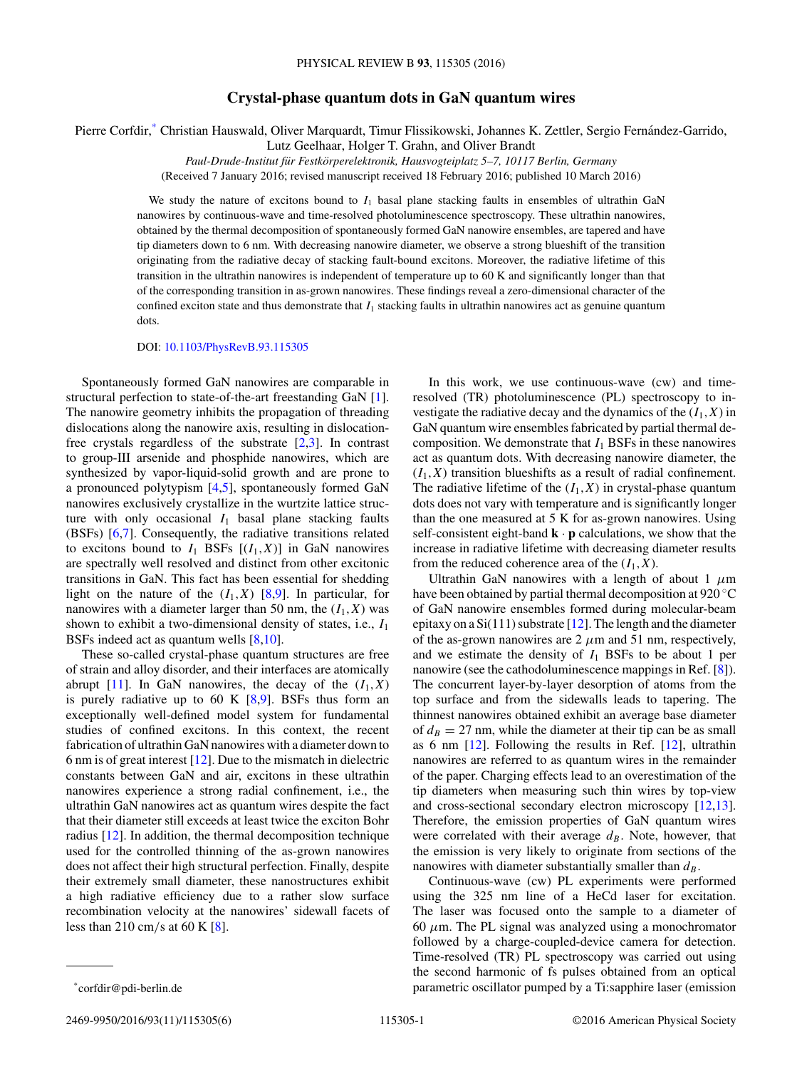## **Crystal-phase quantum dots in GaN quantum wires**

Pierre Corfdir,\* Christian Hauswald, Oliver Marquardt, Timur Flissikowski, Johannes K. Zettler, Sergio Fernández-Garrido,

Lutz Geelhaar, Holger T. Grahn, and Oliver Brandt

*Paul-Drude-Institut fur Festk ¨ orperelektronik, Hausvogteiplatz 5–7, 10117 Berlin, Germany ¨* (Received 7 January 2016; revised manuscript received 18 February 2016; published 10 March 2016)

We study the nature of excitons bound to  $I_1$  basal plane stacking faults in ensembles of ultrathin GaN nanowires by continuous-wave and time-resolved photoluminescence spectroscopy. These ultrathin nanowires, obtained by the thermal decomposition of spontaneously formed GaN nanowire ensembles, are tapered and have tip diameters down to 6 nm. With decreasing nanowire diameter, we observe a strong blueshift of the transition originating from the radiative decay of stacking fault-bound excitons. Moreover, the radiative lifetime of this transition in the ultrathin nanowires is independent of temperature up to 60 K and significantly longer than that of the corresponding transition in as-grown nanowires. These findings reveal a zero-dimensional character of the confined exciton state and thus demonstrate that *I*<sup>1</sup> stacking faults in ultrathin nanowires act as genuine quantum dots.

DOI: [10.1103/PhysRevB.93.115305](http://dx.doi.org/10.1103/PhysRevB.93.115305)

Spontaneously formed GaN nanowires are comparable in structural perfection to state-of-the-art freestanding GaN [\[1\]](#page-4-0). The nanowire geometry inhibits the propagation of threading dislocations along the nanowire axis, resulting in dislocationfree crystals regardless of the substrate [\[2,3\]](#page-4-0). In contrast to group-III arsenide and phosphide nanowires, which are synthesized by vapor-liquid-solid growth and are prone to a pronounced polytypism [\[4,5\]](#page-4-0), spontaneously formed GaN nanowires exclusively crystallize in the wurtzite lattice structure with only occasional  $I_1$  basal plane stacking faults (BSFs) [\[6,7\]](#page-4-0). Consequently, the radiative transitions related to excitons bound to  $I_1$  BSFs  $[(I_1, X)]$  in GaN nanowires are spectrally well resolved and distinct from other excitonic transitions in GaN. This fact has been essential for shedding light on the nature of the  $(I_1, X)$  [\[8,9\]](#page-4-0). In particular, for nanowires with a diameter larger than 50 nm, the  $(I_1, X)$  was shown to exhibit a two-dimensional density of states, i.e., *I*<sup>1</sup> BSFs indeed act as quantum wells [\[8,10\]](#page-4-0).

These so-called crystal-phase quantum structures are free of strain and alloy disorder, and their interfaces are atomically abrupt [\[11\]](#page-4-0). In GaN nanowires, the decay of the  $(I_1, X)$ is purely radiative up to 60 K  $[8, 9]$ . BSFs thus form an exceptionally well-defined model system for fundamental studies of confined excitons. In this context, the recent fabrication of ultrathin GaN nanowires with a diameter down to 6 nm is of great interest [\[12\]](#page-4-0). Due to the mismatch in dielectric constants between GaN and air, excitons in these ultrathin nanowires experience a strong radial confinement, i.e., the ultrathin GaN nanowires act as quantum wires despite the fact that their diameter still exceeds at least twice the exciton Bohr radius [\[12\]](#page-4-0). In addition, the thermal decomposition technique used for the controlled thinning of the as-grown nanowires does not affect their high structural perfection. Finally, despite their extremely small diameter, these nanostructures exhibit a high radiative efficiency due to a rather slow surface recombination velocity at the nanowires' sidewall facets of less than 210 cm*/*s at 60 K [\[8\]](#page-4-0).

In this work, we use continuous-wave (cw) and timeresolved (TR) photoluminescence (PL) spectroscopy to investigate the radiative decay and the dynamics of the  $(I_1, X)$  in GaN quantum wire ensembles fabricated by partial thermal decomposition. We demonstrate that  $I_1$  BSFs in these nanowires act as quantum dots. With decreasing nanowire diameter, the  $(I_1, X)$  transition blueshifts as a result of radial confinement. The radiative lifetime of the  $(I_1, X)$  in crystal-phase quantum dots does not vary with temperature and is significantly longer than the one measured at 5 K for as-grown nanowires. Using self-consistent eight-band  $\mathbf{k} \cdot \mathbf{p}$  calculations, we show that the increase in radiative lifetime with decreasing diameter results from the reduced coherence area of the  $(I_1, X)$ .

Ultrathin GaN nanowires with a length of about 1 *μ*m have been obtained by partial thermal decomposition at 920 ◦C of GaN nanowire ensembles formed during molecular-beam epitaxy on a  $Si(111)$  substrate [\[12\]](#page-4-0). The length and the diameter of the as-grown nanowires are  $2 \mu m$  and  $51 \text{ nm}$ , respectively, and we estimate the density of  $I_1$  BSFs to be about 1 per nanowire (see the cathodoluminescence mappings in Ref. [\[8\]](#page-4-0)). The concurrent layer-by-layer desorption of atoms from the top surface and from the sidewalls leads to tapering. The thinnest nanowires obtained exhibit an average base diameter of  $d_B = 27$  nm, while the diameter at their tip can be as small as 6 nm [\[12\]](#page-4-0). Following the results in Ref. [\[12\]](#page-4-0), ultrathin nanowires are referred to as quantum wires in the remainder of the paper. Charging effects lead to an overestimation of the tip diameters when measuring such thin wires by top-view and cross-sectional secondary electron microscopy [\[12,13\]](#page-4-0). Therefore, the emission properties of GaN quantum wires were correlated with their average  $d_B$ . Note, however, that the emission is very likely to originate from sections of the nanowires with diameter substantially smaller than  $d_B$ .

Continuous-wave (cw) PL experiments were performed using the 325 nm line of a HeCd laser for excitation. The laser was focused onto the sample to a diameter of 60  $\mu$ m. The PL signal was analyzed using a monochromator followed by a charge-coupled-device camera for detection. Time-resolved (TR) PL spectroscopy was carried out using the second harmonic of fs pulses obtained from an optical parametric oscillator pumped by a Ti:sapphire laser (emission

2469-9950/2016/93(11)/115305(6) 115305-1 ©2016 American Physical Society

<sup>\*</sup>corfdir@pdi-berlin.de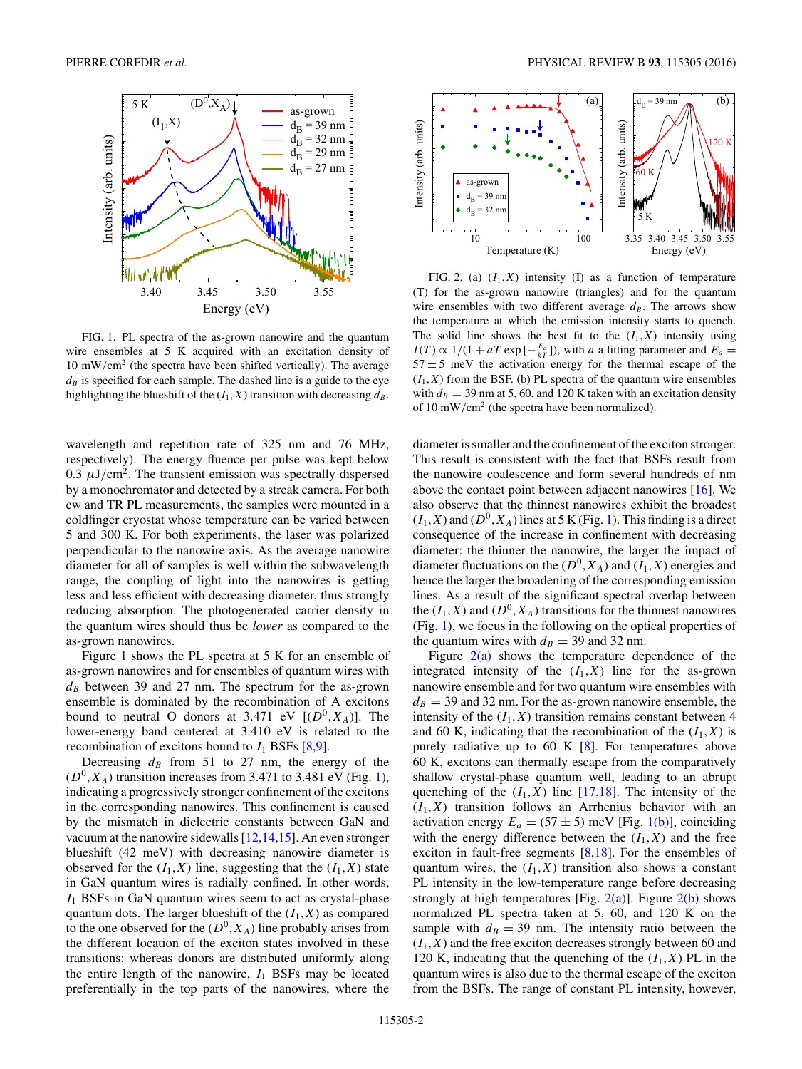<span id="page-1-0"></span>

FIG. 1. PL spectra of the as-grown nanowire and the quantum wire ensembles at 5 K acquired with an excitation density of 10 mW*/*cm<sup>2</sup> (the spectra have been shifted vertically). The average  $d<sub>B</sub>$  is specified for each sample. The dashed line is a guide to the eye highlighting the blueshift of the  $(I_1, X)$  transition with decreasing  $d_B$ .

wavelength and repetition rate of 325 nm and 76 MHz, respectively). The energy fluence per pulse was kept below 0.3  $\mu$ J/cm<sup>2</sup>. The transient emission was spectrally dispersed by a monochromator and detected by a streak camera. For both cw and TR PL measurements, the samples were mounted in a coldfinger cryostat whose temperature can be varied between 5 and 300 K. For both experiments, the laser was polarized perpendicular to the nanowire axis. As the average nanowire diameter for all of samples is well within the subwavelength range, the coupling of light into the nanowires is getting less and less efficient with decreasing diameter, thus strongly reducing absorption. The photogenerated carrier density in the quantum wires should thus be *lower* as compared to the as-grown nanowires.

Figure 1 shows the PL spectra at 5 K for an ensemble of as-grown nanowires and for ensembles of quantum wires with  $d_B$  between 39 and 27 nm. The spectrum for the as-grown ensemble is dominated by the recombination of A excitons bound to neutral O donors at 3.471 eV  $[(D^0, X_A)]$ . The lower-energy band centered at 3.410 eV is related to the recombination of excitons bound to  $I_1$  BSFs  $[8,9]$ .

Decreasing  $d_B$  from 51 to 27 nm, the energy of the  $(D<sup>0</sup>, X<sub>A</sub>)$  transition increases from 3.471 to 3.481 eV (Fig. 1), indicating a progressively stronger confinement of the excitons in the corresponding nanowires. This confinement is caused by the mismatch in dielectric constants between GaN and vacuum at the nanowire sidewalls [\[12,14,15\]](#page-4-0). An even stronger blueshift (42 meV) with decreasing nanowire diameter is observed for the  $(I_1, X)$  line, suggesting that the  $(I_1, X)$  state in GaN quantum wires is radially confined. In other words, *I*<sup>1</sup> BSFs in GaN quantum wires seem to act as crystal-phase quantum dots. The larger blueshift of the  $(I_1, X)$  as compared to the one observed for the  $(D^0, X_A)$  line probably arises from the different location of the exciton states involved in these transitions: whereas donors are distributed uniformly along the entire length of the nanowire,  $I_1$  BSFs may be located preferentially in the top parts of the nanowires, where the



FIG. 2. (a)  $(I_1, X)$  intensity (I) as a function of temperature (T) for the as-grown nanowire (triangles) and for the quantum wire ensembles with two different average  $d_B$ . The arrows show the temperature at which the emission intensity starts to quench. The solid line shows the best fit to the  $(I_1, X)$  intensity using  $I(T) \propto 1/(1 + aT \exp[-\frac{E_a}{kT}])$ , with *a* a fitting parameter and  $E_a =$  $57 \pm 5$  meV the activation energy for the thermal escape of the  $(I_1, X)$  from the BSF. (b) PL spectra of the quantum wire ensembles with  $d_B = 39$  nm at 5, 60, and 120 K taken with an excitation density of 10 mW*/*cm<sup>2</sup> (the spectra have been normalized).

diameter is smaller and the confinement of the exciton stronger. This result is consistent with the fact that BSFs result from the nanowire coalescence and form several hundreds of nm above the contact point between adjacent nanowires [\[16\]](#page-5-0). We also observe that the thinnest nanowires exhibit the broadest  $(I_1, X)$  and  $(D^0, X_A)$  lines at 5 K (Fig. 1). This finding is a direct consequence of the increase in confinement with decreasing diameter: the thinner the nanowire, the larger the impact of diameter fluctuations on the  $(D^0, X_A)$  and  $(I_1, X)$  energies and hence the larger the broadening of the corresponding emission lines. As a result of the significant spectral overlap between the  $(I_1, X)$  and  $(D^0, X_A)$  transitions for the thinnest nanowires (Fig. 1), we focus in the following on the optical properties of the quantum wires with  $d_B = 39$  and 32 nm.

Figure  $2(a)$  shows the temperature dependence of the integrated intensity of the  $(I_1, X)$  line for the as-grown nanowire ensemble and for two quantum wire ensembles with  $d_B = 39$  and 32 nm. For the as-grown nanowire ensemble, the intensity of the  $(I_1, X)$  transition remains constant between 4 and 60 K, indicating that the recombination of the  $(I_1, X)$  is purely radiative up to 60 K [\[8\]](#page-4-0). For temperatures above 60 K, excitons can thermally escape from the comparatively shallow crystal-phase quantum well, leading to an abrupt quenching of the  $(I_1, X)$  line [\[17,18\]](#page-5-0). The intensity of the  $(I_1, X)$  transition follows an Arrhenius behavior with an activation energy  $E_a = (57 \pm 5)$  meV [Fig. 1(b)], coinciding with the energy difference between the  $(I_1, X)$  and the free exciton in fault-free segments [\[8,](#page-4-0)[18\]](#page-5-0). For the ensembles of quantum wires, the  $(I_1, X)$  transition also shows a constant PL intensity in the low-temperature range before decreasing strongly at high temperatures [Fig.  $2(a)$ ]. Figure  $2(b)$  shows normalized PL spectra taken at 5, 60, and 120 K on the sample with  $d_B = 39$  nm. The intensity ratio between the  $(I_1, X)$  and the free exciton decreases strongly between 60 and 120 K, indicating that the quenching of the  $(I_1, X)$  PL in the quantum wires is also due to the thermal escape of the exciton from the BSFs. The range of constant PL intensity, however,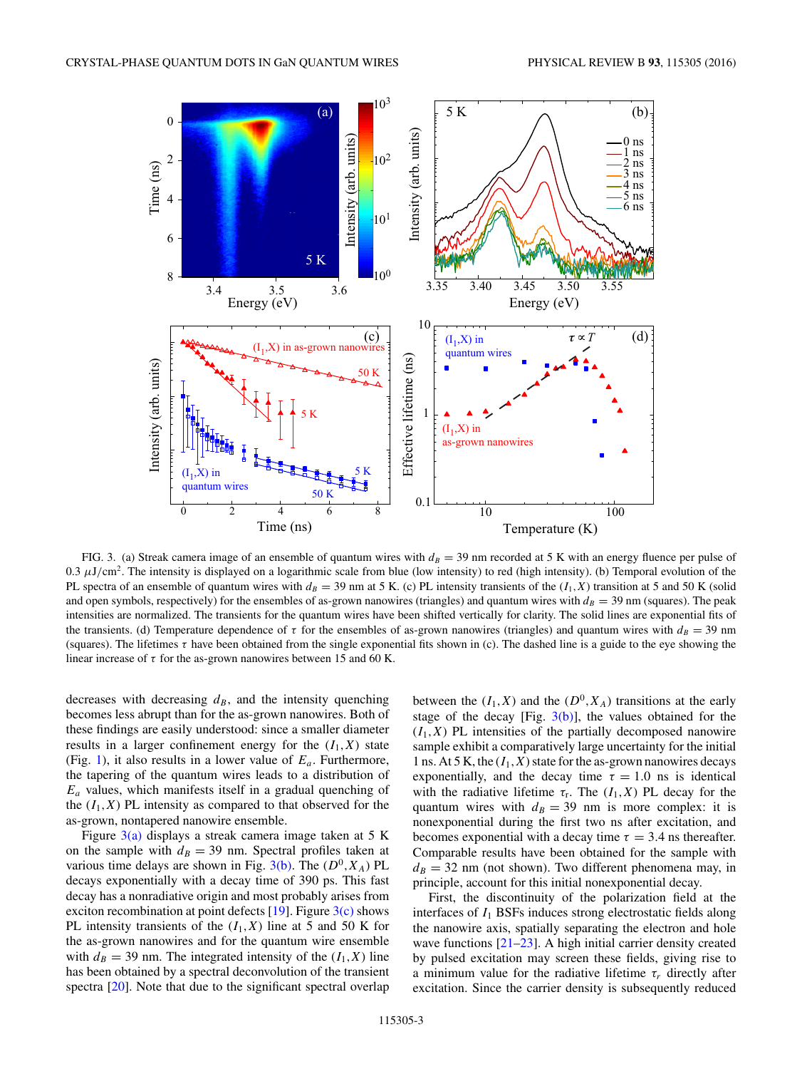<span id="page-2-0"></span>

FIG. 3. (a) Streak camera image of an ensemble of quantum wires with  $d_B = 39$  nm recorded at 5 K with an energy fluence per pulse of 0.3 *μ*J*/*cm2. The intensity is displayed on a logarithmic scale from blue (low intensity) to red (high intensity). (b) Temporal evolution of the PL spectra of an ensemble of quantum wires with  $d_B = 39$  nm at 5 K. (c) PL intensity transients of the ( $I_1, X$ ) transition at 5 and 50 K (solid and open symbols, respectively) for the ensembles of as-grown nanowires (triangles) and quantum wires with  $d_B = 39$  nm (squares). The peak intensities are normalized. The transients for the quantum wires have been shifted vertically for clarity. The solid lines are exponential fits of the transients. (d) Temperature dependence of  $\tau$  for the ensembles of as-grown nanowires (triangles) and quantum wires with  $d_B = 39$  nm (squares). The lifetimes *τ* have been obtained from the single exponential fits shown in (c). The dashed line is a guide to the eye showing the linear increase of  $\tau$  for the as-grown nanowires between 15 and 60 K.

decreases with decreasing  $d<sub>B</sub>$ , and the intensity quenching becomes less abrupt than for the as-grown nanowires. Both of these findings are easily understood: since a smaller diameter results in a larger confinement energy for the  $(I_1, X)$  state (Fig. [1\)](#page-1-0), it also results in a lower value of *Ea*. Furthermore, the tapering of the quantum wires leads to a distribution of *Ea* values, which manifests itself in a gradual quenching of the  $(I_1, X)$  PL intensity as compared to that observed for the as-grown, nontapered nanowire ensemble.

Figure  $3(a)$  displays a streak camera image taken at 5 K on the sample with  $d_B = 39$  nm. Spectral profiles taken at various time delays are shown in Fig.  $3(b)$ . The  $(D^0, X_A)$  PL decays exponentially with a decay time of 390 ps. This fast decay has a nonradiative origin and most probably arises from exciton recombination at point defects  $[19]$ . Figure  $3(c)$  shows PL intensity transients of the  $(I_1, X)$  line at 5 and 50 K for the as-grown nanowires and for the quantum wire ensemble with  $d_B = 39$  nm. The integrated intensity of the  $(I_1, X)$  line has been obtained by a spectral deconvolution of the transient spectra [\[20\]](#page-5-0). Note that due to the significant spectral overlap between the  $(I_1, X)$  and the  $(D^0, X_A)$  transitions at the early stage of the decay [Fig.  $3(b)$ ], the values obtained for the  $(I_1, X)$  PL intensities of the partially decomposed nanowire sample exhibit a comparatively large uncertainty for the initial 1 ns. At 5 K, the  $(I_1, X)$  state for the as-grown nanowires decays exponentially, and the decay time  $\tau = 1.0$  ns is identical with the radiative lifetime  $\tau_r$ . The  $(I_1, X)$  PL decay for the quantum wires with  $d_B = 39$  nm is more complex: it is nonexponential during the first two ns after excitation, and becomes exponential with a decay time  $\tau = 3.4$  ns thereafter. Comparable results have been obtained for the sample with  $d_B = 32$  nm (not shown). Two different phenomena may, in principle, account for this initial nonexponential decay.

First, the discontinuity of the polarization field at the interfaces of  $I_1$  BSFs induces strong electrostatic fields along the nanowire axis, spatially separating the electron and hole wave functions [\[21–23\]](#page-5-0). A high initial carrier density created by pulsed excitation may screen these fields, giving rise to a minimum value for the radiative lifetime  $\tau_r$  directly after excitation. Since the carrier density is subsequently reduced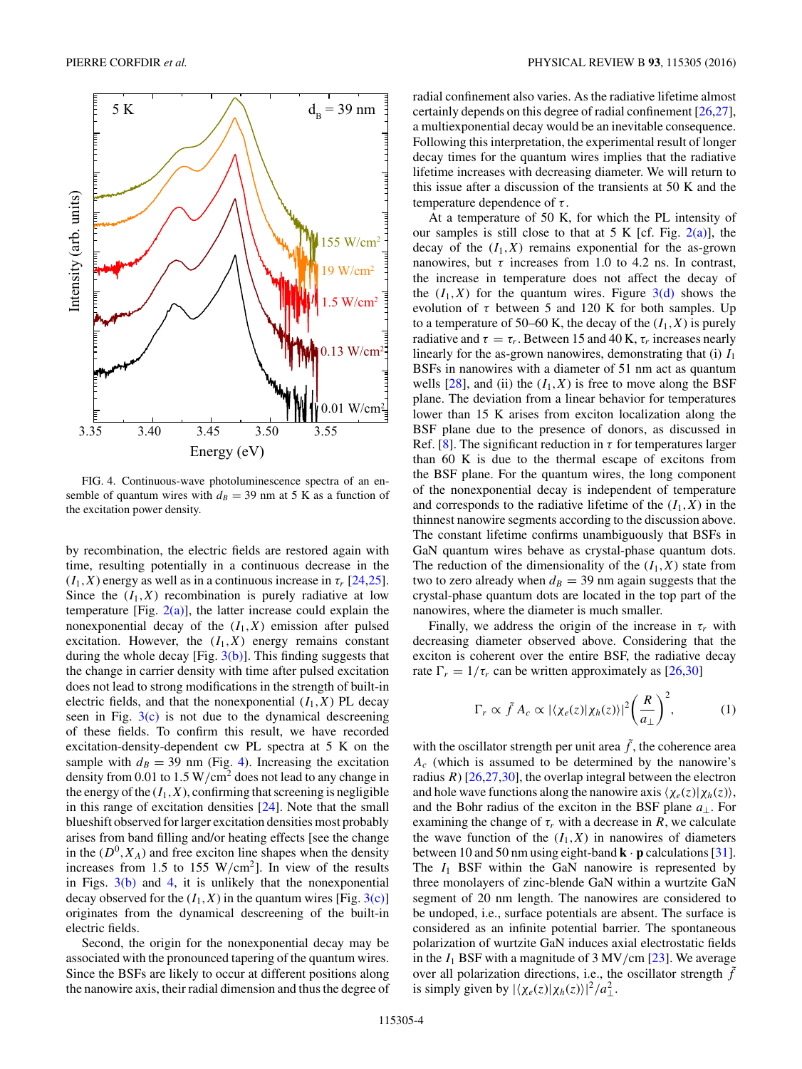<span id="page-3-0"></span>

FIG. 4. Continuous-wave photoluminescence spectra of an ensemble of quantum wires with  $d_B = 39$  nm at 5 K as a function of the excitation power density.

by recombination, the electric fields are restored again with time, resulting potentially in a continuous decrease in the  $(I_1, X)$  energy as well as in a continuous increase in  $\tau_r$  [\[24,25\]](#page-5-0). Since the  $(I_1, X)$  recombination is purely radiative at low temperature [Fig.  $2(a)$ ], the latter increase could explain the nonexponential decay of the  $(I_1, X)$  emission after pulsed excitation. However, the  $(I_1, X)$  energy remains constant during the whole decay [Fig.  $3(b)$ ]. This finding suggests that the change in carrier density with time after pulsed excitation does not lead to strong modifications in the strength of built-in electric fields, and that the nonexponential  $(I_1, X)$  PL decay seen in Fig.  $3(c)$  is not due to the dynamical descreening of these fields. To confirm this result, we have recorded excitation-density-dependent cw PL spectra at 5 K on the sample with  $d_B = 39$  nm (Fig. 4). Increasing the excitation density from 0.01 to 1.5 W*/*cm<sup>2</sup> does not lead to any change in the energy of the  $(I_1, X)$ , confirming that screening is negligible in this range of excitation densities [\[24\]](#page-5-0). Note that the small blueshift observed for larger excitation densities most probably arises from band filling and/or heating effects [see the change in the  $(D^0, X_A)$  and free exciton line shapes when the density increases from 1.5 to 155 W*/*cm2]. In view of the results in Figs.  $3(b)$  and 4, it is unlikely that the nonexponential decay observed for the  $(I_1, X)$  in the quantum wires [Fig. [3\(c\)\]](#page-2-0) originates from the dynamical descreening of the built-in electric fields.

Second, the origin for the nonexponential decay may be associated with the pronounced tapering of the quantum wires. Since the BSFs are likely to occur at different positions along the nanowire axis, their radial dimension and thus the degree of radial confinement also varies. As the radiative lifetime almost certainly depends on this degree of radial confinement [\[26,27\]](#page-5-0), a multiexponential decay would be an inevitable consequence. Following this interpretation, the experimental result of longer decay times for the quantum wires implies that the radiative lifetime increases with decreasing diameter. We will return to this issue after a discussion of the transients at 50 K and the temperature dependence of *τ* .

At a temperature of 50 K, for which the PL intensity of our samples is still close to that at 5 K [cf. Fig.  $2(a)$ ], the decay of the  $(I_1, X)$  remains exponential for the as-grown nanowires, but  $\tau$  increases from 1.0 to 4.2 ns. In contrast, the increase in temperature does not affect the decay of the  $(I_1, X)$  for the quantum wires. Figure  $3(d)$  shows the evolution of  $\tau$  between 5 and 120 K for both samples. Up to a temperature of 50–60 K, the decay of the  $(I_1, X)$  is purely radiative and  $\tau = \tau_r$ . Between 15 and 40 K,  $\tau_r$  increases nearly linearly for the as-grown nanowires, demonstrating that (i) *I*<sup>1</sup> BSFs in nanowires with a diameter of 51 nm act as quantum wells  $[28]$ , and (ii) the  $(I_1, X)$  is free to move along the BSF plane. The deviation from a linear behavior for temperatures lower than 15 K arises from exciton localization along the BSF plane due to the presence of donors, as discussed in Ref. [\[8\]](#page-4-0). The significant reduction in  $\tau$  for temperatures larger than 60 K is due to the thermal escape of excitons from the BSF plane. For the quantum wires, the long component of the nonexponential decay is independent of temperature and corresponds to the radiative lifetime of the  $(I_1, X)$  in the thinnest nanowire segments according to the discussion above. The constant lifetime confirms unambiguously that BSFs in GaN quantum wires behave as crystal-phase quantum dots. The reduction of the dimensionality of the  $(I_1, X)$  state from two to zero already when  $d_B = 39$  nm again suggests that the crystal-phase quantum dots are located in the top part of the nanowires, where the diameter is much smaller.

Finally, we address the origin of the increase in  $\tau_r$  with decreasing diameter observed above. Considering that the exciton is coherent over the entire BSF, the radiative decay rate  $\Gamma_r = 1/\tau_r$  can be written approximately as [\[26,30\]](#page-5-0)

$$
\Gamma_r \propto \tilde{f} A_c \propto |\langle \chi_e(z) | \chi_h(z) \rangle|^2 \left(\frac{R}{a_\perp}\right)^2, \tag{1}
$$

with the oscillator strength per unit area  $\tilde{f}$ , the coherence area *Ac* (which is assumed to be determined by the nanowire's radius  $R$ ) [\[26,27,30\]](#page-5-0), the overlap integral between the electron and hole wave functions along the nanowire axis  $\langle \chi_e(z)| \chi_h(z) \rangle$ , and the Bohr radius of the exciton in the BSF plane *a*⊥. For examining the change of  $\tau_r$  with a decrease in *R*, we calculate the wave function of the  $(I_1, X)$  in nanowires of diameters between 10 and 50 nm using eight-band **k** · **p** calculations [\[31\]](#page-5-0). The  $I_1$  BSF within the GaN nanowire is represented by three monolayers of zinc-blende GaN within a wurtzite GaN segment of 20 nm length. The nanowires are considered to be undoped, i.e., surface potentials are absent. The surface is considered as an infinite potential barrier. The spontaneous polarization of wurtzite GaN induces axial electrostatic fields in the *I*<sup>1</sup> BSF with a magnitude of 3 MV*/*cm [\[23\]](#page-5-0). We average over all polarization directions, i.e., the oscillator strength  $\tilde{f}$ is simply given by  $|\langle \chi_e(z)| \chi_h(z) \rangle|^2 / a_{\perp}^2$ .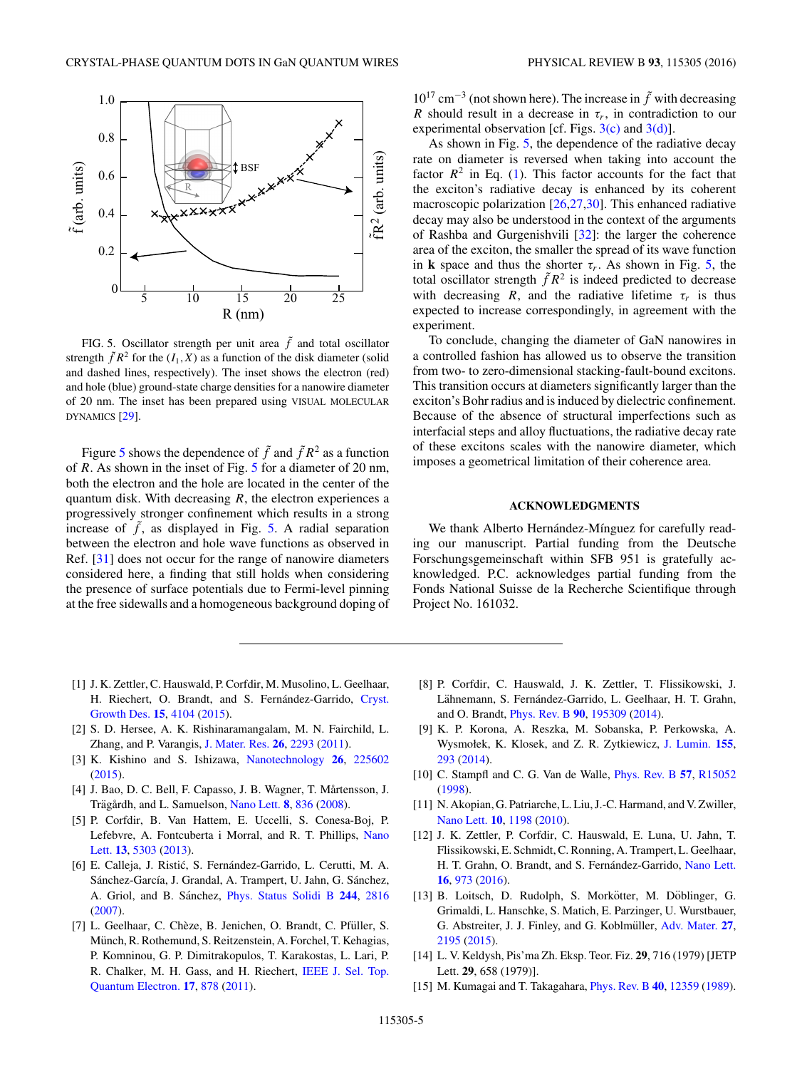<span id="page-4-0"></span>

FIG. 5. Oscillator strength per unit area  $\tilde{f}$  and total oscillator strength  $\tilde{f}R^2$  for the  $(I_1, X)$  as a function of the disk diameter (solid and dashed lines, respectively). The inset shows the electron (red) and hole (blue) ground-state charge densities for a nanowire diameter of 20 nm. The inset has been prepared using VISUAL MOLECULAR DYNAMICS [\[29\]](#page-5-0).

Figure 5 shows the dependence of  $\tilde{f}$  and  $\tilde{f}R^2$  as a function of *R*. As shown in the inset of Fig. 5 for a diameter of 20 nm, both the electron and the hole are located in the center of the quantum disk. With decreasing *R*, the electron experiences a progressively stronger confinement which results in a strong increase of  $\tilde{f}$ , as displayed in Fig. 5. A radial separation between the electron and hole wave functions as observed in Ref. [\[31\]](#page-5-0) does not occur for the range of nanowire diameters considered here, a finding that still holds when considering the presence of surface potentials due to Fermi-level pinning at the free sidewalls and a homogeneous background doping of

 $10^{17}$  cm<sup>-3</sup> (not shown here). The increase in  $\tilde{f}$  with decreasing *R* should result in a decrease in  $\tau_r$ , in contradiction to our experimental observation [cf. Figs.  $3(c)$  and  $3(d)$ ].

As shown in Fig. 5, the dependence of the radiative decay rate on diameter is reversed when taking into account the factor  $R^2$  in Eq. [\(1\)](#page-3-0). This factor accounts for the fact that the exciton's radiative decay is enhanced by its coherent macroscopic polarization [\[26,27,30\]](#page-5-0). This enhanced radiative decay may also be understood in the context of the arguments of Rashba and Gurgenishvili [\[32\]](#page-5-0): the larger the coherence area of the exciton, the smaller the spread of its wave function in **k** space and thus the shorter  $\tau_r$ . As shown in Fig. 5, the total oscillator strength  $\tilde{f}R^2$  is indeed predicted to decrease with decreasing *R*, and the radiative lifetime  $\tau_r$  is thus expected to increase correspondingly, in agreement with the experiment.

To conclude, changing the diameter of GaN nanowires in a controlled fashion has allowed us to observe the transition from two- to zero-dimensional stacking-fault-bound excitons. This transition occurs at diameters significantly larger than the exciton's Bohr radius and is induced by dielectric confinement. Because of the absence of structural imperfections such as interfacial steps and alloy fluctuations, the radiative decay rate of these excitons scales with the nanowire diameter, which imposes a geometrical limitation of their coherence area.

## **ACKNOWLEDGMENTS**

We thank Alberto Hernández-Mínguez for carefully reading our manuscript. Partial funding from the Deutsche Forschungsgemeinschaft within SFB 951 is gratefully acknowledged. P.C. acknowledges partial funding from the Fonds National Suisse de la Recherche Scientifique through Project No. 161032.

- [1] J. K. Zettler, C. Hauswald, P. Corfdir, M. Musolino, L. Geelhaar, H. Riechert, O. Brandt, and S. Fernández-Garrido, Cryst. Growth Des. **[15](http://dx.doi.org/10.1021/acs.cgd.5b00690)**, [4104](http://dx.doi.org/10.1021/acs.cgd.5b00690) [\(2015\)](http://dx.doi.org/10.1021/acs.cgd.5b00690).
- [2] S. D. Hersee, A. K. Rishinaramangalam, M. N. Fairchild, L. Zhang, and P. Varangis, [J. Mater. Res.](http://dx.doi.org/10.1557/jmr.2011.112) **[26](http://dx.doi.org/10.1557/jmr.2011.112)**, [2293](http://dx.doi.org/10.1557/jmr.2011.112) [\(2011\)](http://dx.doi.org/10.1557/jmr.2011.112).
- [3] K. Kishino and S. Ishizawa, [Nanotechnology](http://dx.doi.org/10.1088/0957-4484/26/22/225602) **[26](http://dx.doi.org/10.1088/0957-4484/26/22/225602)**, [225602](http://dx.doi.org/10.1088/0957-4484/26/22/225602) [\(2015\)](http://dx.doi.org/10.1088/0957-4484/26/22/225602).
- [4] J. Bao, D. C. Bell, F. Capasso, J. B. Wagner, T. Mårtensson, J. Trägårdh, and L. Samuelson, [Nano Lett.](http://dx.doi.org/10.1021/nl072921e) [8](http://dx.doi.org/10.1021/nl072921e), [836](http://dx.doi.org/10.1021/nl072921e) [\(2008\)](http://dx.doi.org/10.1021/nl072921e).
- [5] P. Corfdir, B. Van Hattem, E. Uccelli, S. Conesa-Boj, P. [Lefebvre, A. Fontcuberta i Morral, and R. T. Phillips,](http://dx.doi.org/10.1021/nl4028186) Nano Lett. **[13](http://dx.doi.org/10.1021/nl4028186)**, [5303](http://dx.doi.org/10.1021/nl4028186) [\(2013\)](http://dx.doi.org/10.1021/nl4028186).
- [6] E. Calleja, J. Ristić, S. Fernández-Garrido, L. Cerutti, M. A. Sánchez-García, J. Grandal, A. Trampert, U. Jahn, G. Sánchez, A. Griol, and B. Sánchez, [Phys. Status Solidi B](http://dx.doi.org/10.1002/pssb.200675628) [244](http://dx.doi.org/10.1002/pssb.200675628), [2816](http://dx.doi.org/10.1002/pssb.200675628) [\(2007\)](http://dx.doi.org/10.1002/pssb.200675628).
- [7] L. Geelhaar, C. Chèze, B. Jenichen, O. Brandt, C. Pfüller, S. Münch, R. Rothemund, S. Reitzenstein, A. Forchel, T. Kehagias, P. Komninou, G. P. Dimitrakopulos, T. Karakostas, L. Lari, P. [R. Chalker, M. H. Gass, and H. Riechert,](http://dx.doi.org/10.1109/JSTQE.2010.2098396) IEEE J. Sel. Top. Quantum Electron. **[17](http://dx.doi.org/10.1109/JSTQE.2010.2098396)**, [878](http://dx.doi.org/10.1109/JSTQE.2010.2098396) [\(2011\)](http://dx.doi.org/10.1109/JSTQE.2010.2098396).
- [8] P. Corfdir, C. Hauswald, J. K. Zettler, T. Flissikowski, J. Lähnemann, S. Fernández-Garrido, L. Geelhaar, H. T. Grahn, and O. Brandt, [Phys. Rev. B](http://dx.doi.org/10.1103/PhysRevB.90.195309) **[90](http://dx.doi.org/10.1103/PhysRevB.90.195309)**, [195309](http://dx.doi.org/10.1103/PhysRevB.90.195309) [\(2014\)](http://dx.doi.org/10.1103/PhysRevB.90.195309).
- [9] K. P. Korona, A. Reszka, M. Sobanska, P. Perkowska, A. Wysmołek, K. Klosek, and Z. R. Zytkiewicz, [J. Lumin.](http://dx.doi.org/10.1016/j.jlumin.2014.06.061) **[155](http://dx.doi.org/10.1016/j.jlumin.2014.06.061)**, [293](http://dx.doi.org/10.1016/j.jlumin.2014.06.061) [\(2014\)](http://dx.doi.org/10.1016/j.jlumin.2014.06.061).
- [10] C. Stampfl and C. G. Van de Walle, [Phys. Rev. B](http://dx.doi.org/10.1103/PhysRevB.57.R15052) **[57](http://dx.doi.org/10.1103/PhysRevB.57.R15052)**, [R15052](http://dx.doi.org/10.1103/PhysRevB.57.R15052) [\(1998\)](http://dx.doi.org/10.1103/PhysRevB.57.R15052).
- [11] N. Akopian, G. Patriarche, L. Liu, J.-C. Harmand, and V. Zwiller, [Nano Lett.](http://dx.doi.org/10.1021/nl903534n) **[10](http://dx.doi.org/10.1021/nl903534n)**, [1198](http://dx.doi.org/10.1021/nl903534n) [\(2010\)](http://dx.doi.org/10.1021/nl903534n).
- [12] J. K. Zettler, P. Corfdir, C. Hauswald, E. Luna, U. Jahn, T. Flissikowski, E. Schmidt, C. Ronning, A. Trampert, L. Geelhaar, H. T. Grahn, O. Brandt, and S. Fernández-Garrido, [Nano Lett.](http://dx.doi.org/10.1021/acs.nanolett.5b03931) **[16](http://dx.doi.org/10.1021/acs.nanolett.5b03931)**, [973](http://dx.doi.org/10.1021/acs.nanolett.5b03931) [\(2016\)](http://dx.doi.org/10.1021/acs.nanolett.5b03931).
- [13] B. Loitsch, D. Rudolph, S. Morkötter, M. Döblinger, G. Grimaldi, L. Hanschke, S. Matich, E. Parzinger, U. Wurstbauer, G. Abstreiter, J. J. Finley, and G. Koblmüller, [Adv. Mater.](http://dx.doi.org/10.1002/adma.201404900) [27](http://dx.doi.org/10.1002/adma.201404900), [2195](http://dx.doi.org/10.1002/adma.201404900) [\(2015\)](http://dx.doi.org/10.1002/adma.201404900).
- [14] L. V. Keldysh, Pis'ma Zh. Eksp. Teor. Fiz. **29**, 716 (1979) [JETP Lett. **29**, 658 (1979)].
- [15] M. Kumagai and T. Takagahara, [Phys. Rev. B](http://dx.doi.org/10.1103/PhysRevB.40.12359) **[40](http://dx.doi.org/10.1103/PhysRevB.40.12359)**, [12359](http://dx.doi.org/10.1103/PhysRevB.40.12359) [\(1989\)](http://dx.doi.org/10.1103/PhysRevB.40.12359).